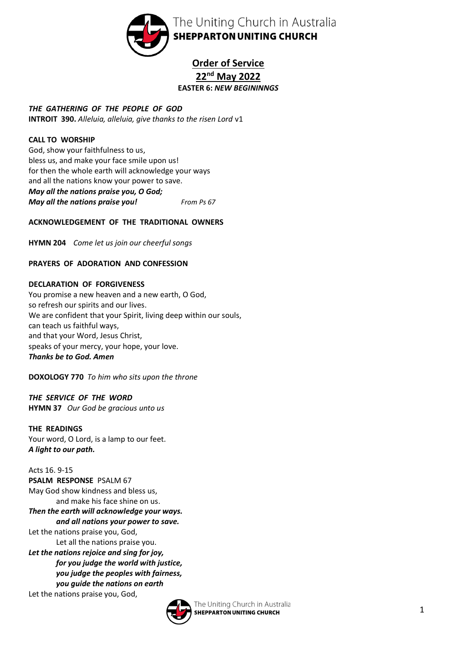

# **Order of Service 22nd May 2022 EASTER 6:** *NEW BEGININNGS*

*THE GATHERING OF THE PEOPLE OF GOD* **INTROIT 390.** *Alleluia, alleluia, give thanks to the risen Lord* v1

## **CALL TO WORSHIP**

God, show your faithfulness to us, bless us, and make your face smile upon us! for then the whole earth will acknowledge your ways and all the nations know your power to save. *May all the nations praise you, O God; May all the nations praise you! From Ps 67*

## **ACKNOWLEDGEMENT OF THE TRADITIONAL OWNERS**

**HYMN 204** *Come let us join our cheerful songs*

## **PRAYERS OF ADORATION AND CONFESSION**

## **DECLARATION OF FORGIVENESS**

You promise a new heaven and a new earth, O God, so refresh our spirits and our lives. We are confident that your Spirit, living deep within our souls, can teach us faithful ways, and that your Word, Jesus Christ, speaks of your mercy, your hope, your love. *Thanks be to God. Amen*

**DOXOLOGY 770** *To him who sits upon the throne*

*THE SERVICE OF THE WORD* **HYMN 37** *Our God be gracious unto us*

**THE READINGS** Your word, O Lord, is a lamp to our feet. *A light to our path.*

Acts 16. 9-15 **PSALM RESPONSE** PSALM 67 May God show kindness and bless us, and make his face shine on us.

### *Then the earth will acknowledge your ways. and all nations your power to save.*

Let the nations praise you, God, Let all the nations praise you.

*Let the nations rejoice and sing for joy, for you judge the world with justice, you judge the peoples with fairness, you guide the nations on earth* Let the nations praise you, God,

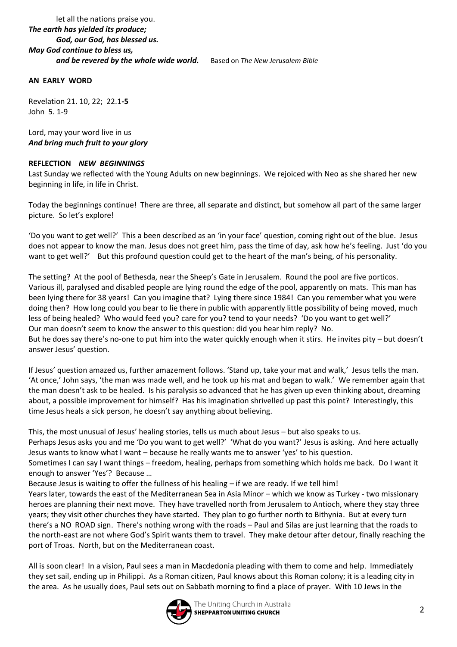### let all the nations praise you. *The earth has yielded its produce; God, our God, has blessed us. May God continue to bless us, and be revered by the whole wide world.* Based on *The New Jerusalem Bible*

#### **AN EARLY WORD**

Revelation 21. 10, 22; 22.1**-5** John 5. 1-9

Lord, may your word live in us *And bring much fruit to your glory*

#### **REFLECTION** *NEW BEGINNINGS*

Last Sunday we reflected with the Young Adults on new beginnings. We rejoiced with Neo as she shared her new beginning in life, in life in Christ.

Today the beginnings continue! There are three, all separate and distinct, but somehow all part of the same larger picture. So let's explore!

'Do you want to get well?' This a been described as an 'in your face' question, coming right out of the blue. Jesus does not appear to know the man. Jesus does not greet him, pass the time of day, ask how he's feeling. Just 'do you want to get well?' But this profound question could get to the heart of the man's being, of his personality.

The setting? At the pool of Bethesda, near the Sheep's Gate in Jerusalem. Round the pool are five porticos. Various ill, paralysed and disabled people are lying round the edge of the pool, apparently on mats. This man has been lying there for 38 years! Can you imagine that? Lying there since 1984! Can you remember what you were doing then? How long could you bear to lie there in public with apparently little possibility of being moved, much less of being healed? Who would feed you? care for you? tend to your needs? 'Do you want to get well?' Our man doesn't seem to know the answer to this question: did you hear him reply? No. But he does say there's no-one to put him into the water quickly enough when it stirs. He invites pity – but doesn't answer Jesus' question.

If Jesus' question amazed us, further amazement follows. 'Stand up, take your mat and walk,' Jesus tells the man. 'At once,' John says, 'the man was made well, and he took up his mat and began to walk.' We remember again that the man doesn't ask to be healed. Is his paralysis so advanced that he has given up even thinking about, dreaming about, a possible improvement for himself? Has his imagination shrivelled up past this point? Interestingly, this time Jesus heals a sick person, he doesn't say anything about believing.

This, the most unusual of Jesus' healing stories, tells us much about Jesus – but also speaks to us. Perhaps Jesus asks you and me 'Do you want to get well?' 'What do you want?' Jesus is asking. And here actually Jesus wants to know what I want – because he really wants me to answer 'yes' to his question.

Sometimes I can say I want things – freedom, healing, perhaps from something which holds me back. Do I want it enough to answer 'Yes'? Because …

Because Jesus is waiting to offer the fullness of his healing – if we are ready. If we tell him!

Years later, towards the east of the Mediterranean Sea in Asia Minor – which we know as Turkey - two missionary heroes are planning their next move. They have travelled north from Jerusalem to Antioch, where they stay three years; they visit other churches they have started. They plan to go further north to Bithynia. But at every turn there's a NO ROAD sign. There's nothing wrong with the roads – Paul and Silas are just learning that the roads to the north-east are not where God's Spirit wants them to travel. They make detour after detour, finally reaching the port of Troas. North, but on the Mediterranean coast.

All is soon clear! In a vision, Paul sees a man in Macdedonia pleading with them to come and help. Immediately they set sail, ending up in Philippi. As a Roman citizen, Paul knows about this Roman colony; it is a leading city in the area. As he usually does, Paul sets out on Sabbath morning to find a place of prayer. With 10 Jews in the

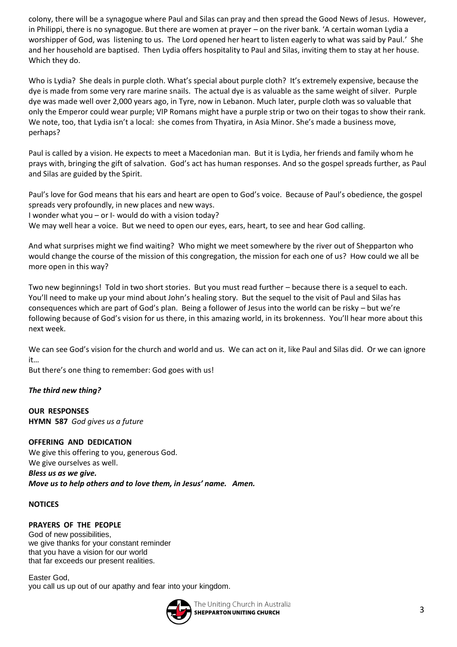colony, there will be a synagogue where Paul and Silas can pray and then spread the Good News of Jesus. However, in Philippi, there is no synagogue. But there are women at prayer – on the river bank. 'A certain woman Lydia a worshipper of God, was listening to us. The Lord opened her heart to listen eagerly to what was said by Paul.' She and her household are baptised. Then Lydia offers hospitality to Paul and Silas, inviting them to stay at her house. Which they do.

Who is Lydia? She deals in purple cloth. What's special about purple cloth? It's extremely expensive, because the dye is made from some very rare marine snails. The actual dye is as valuable as the same weight of silver. Purple dye was made well over 2,000 years ago, in Tyre, now in Lebanon. Much later, purple cloth was so valuable that only the Emperor could wear purple; VIP Romans might have a purple strip or two on their togas to show their rank. We note, too, that Lydia isn't a local: she comes from Thyatira, in Asia Minor. She's made a business move, perhaps?

Paul is called by a vision. He expects to meet a Macedonian man. But it is Lydia, her friends and family whom he prays with, bringing the gift of salvation. God's act has human responses. And so the gospel spreads further, as Paul and Silas are guided by the Spirit.

Paul's love for God means that his ears and heart are open to God's voice. Because of Paul's obedience, the gospel spreads very profoundly, in new places and new ways.

I wonder what you – or I- would do with a vision today?

We may well hear a voice. But we need to open our eyes, ears, heart, to see and hear God calling.

And what surprises might we find waiting? Who might we meet somewhere by the river out of Shepparton who would change the course of the mission of this congregation, the mission for each one of us? How could we all be more open in this way?

Two new beginnings! Told in two short stories. But you must read further – because there is a sequel to each. You'll need to make up your mind about John's healing story. But the sequel to the visit of Paul and Silas has consequences which are part of God's plan. Being a follower of Jesus into the world can be risky – but we're following because of God's vision for us there, in this amazing world, in its brokenness. You'll hear more about this next week.

We can see God's vision for the church and world and us. We can act on it, like Paul and Silas did. Or we can ignore it…

But there's one thing to remember: God goes with us!

#### *The third new thing?*

**OUR RESPONSES HYMN 587** *God gives us a future*

**OFFERING AND DEDICATION** We give this offering to you, generous God. We give ourselves as well. *Bless us as we give. Move us to help others and to love them, in Jesus' name. Amen.*

## **NOTICES**

**PRAYERS OF THE PEOPLE** God of new possibilities, we give thanks for your constant reminder that you have a vision for our world that far exceeds our present realities.

Easter God, you call us up out of our apathy and fear into your kingdom.